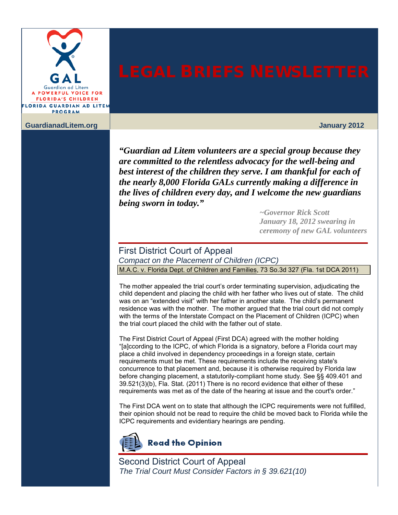

**GuardianadLitem.org January 2012**

*"Guardian ad Litem volunteers are a special group because they are committed to the relentless advocacy for the well-being and best interest of the children they serve. I am thankful for each of the nearly 8,000 Florida GALs currently making a difference in the lives of children every day, and I welcome the new guardians being sworn in today."*

> *~Governor Rick Scott January 18, 2012 swearing in ceremony of new GAL volunteers*

First District Court of Appeal *Compact on the Placement of Children (ICPC)* M.A.C. v. Florida Dept. of Children and Families, 73 So.3d 327 (Fla. 1st DCA 2011)

The mother appealed the trial court's order terminating supervision, adjudicating the child dependent and placing the child with her father who lives out of state. The child was on an "extended visit" with her father in another state. The child's permanent residence was with the mother. The mother argued that the trial court did not comply with the terms of the Interstate Compact on the Placement of Children (ICPC) when the trial court placed the child with the father out of state.

The First District Court of Appeal (First DCA) agreed with the mother holding "[a]ccording to the ICPC, of which Florida is a signatory, before a Florida court may place a child involved in dependency proceedings in a foreign state, certain requirements must be met. These requirements include the receiving state's concurrence to that placement and, because it is otherwise required by Florida law before changing placement, a statutorily-compliant home study. See [§§ 409.401](http://www.leg.state.fl.us/Statutes/index.cfm?App_mode=Display_Statute&Search_String=&URL=0400-0499/0409/Sections/0409.401.html) and [39.521\(3\)\(b\), Fla. Stat. \(2011\)](http://www.leg.state.fl.us/Statutes/index.cfm?App_mode=Display_Statute&Search_String=&URL=0000-0099/0039/Sections/0039.521.html) There is no record evidence that either of these requirements was met as of the date of the hearing at issue and the court's order."

The First DCA went on to state that although the ICPC requirements were not fulfilled, their opinion should not be read to require the child be moved back to Florida while the ICPC requirements and evidentiary hearings are pending.

**Read the Opinion** 

Second District Court of Appeal *The Trial Court Must Consider Factors in § 39.621(10)*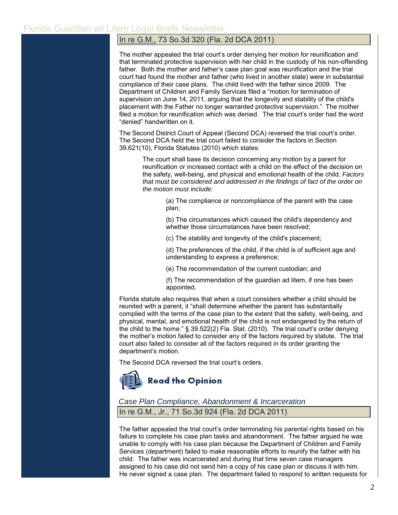#### In re G.M., 73 So.3d 320 (Fla. 2d DCA 2011)

The mother appealed the trial court's order denying her motion for reunification and that terminated protective supervision with her child in the custody of his non-offending father. Both the mother and father's case plan goal was reunification and the trial court had found the mother and father (who lived in another state) were in substantial compliance of their case plans. The child lived with the father since 2009. The Department of Children and Family Services filed a "motion for termination of supervision on June 14, 2011, arguing that the longevity and stability of the child's placement with the Father no longer warranted protective supervision." The mother filed a motion for reunification which was denied. The trial court's order had the word "denied" handwritten on it.

The Second District Court of Appeal (Second DCA) reversed the trial court's order. The Second DCA held the trial court failed to consider the factors in Section [39.621\(10\), Florida Statutes \(2010\)](http://www.leg.state.fl.us/Statutes/index.cfm?App_mode=Display_Statute&Search_String=&URL=0000-0099/0039/Sections/0039.621.html) which states:

The court shall base its decision concerning any motion by a parent for reunification or increased contact with a child on the effect of the decision on the safety, well-being, and physical and emotional health of the child. *Factors that must be considered and addressed in the findings of fact of the order on the motion must include:*

> (a) The compliance or noncompliance of the parent with the case plan;

> (b) The circumstances which caused the child's dependency and whether those circumstances have been resolved;

(c) The stability and longevity of the child's placement;

(d) The preferences of the child, if the child is of sufficient age and understanding to express a preference;

(e) The recommendation of the current custodian; and

(f) The recommendation of the guardian ad litem, if one has been appointed.

Florida statute also requires that when a court considers whether a child should be reunited with a parent, it "shall determine whether the parent has substantially complied with the terms of the case plan to the extent that the safety, well-being, and physical, mental, and emotional health of the child is not endangered by the return of the child to the home." [§ 39.522\(2\) Fla. Stat. \(2010\).](http://www.leg.state.fl.us/Statutes/index.cfm?App_mode=Display_Statute&Search_String=&URL=0000-0099/0039/Sections/0039.522.html) The trial court's order denying the mother's motion failed to consider any of the factors required by statute. The trial court also failed to consider all of the factors required in its order granting the department's motion.

The Second DCA reversed the trial court's orders.



*Case Plan Compliance, Abandonment & Incarceration* In re G.M., Jr., 71 So.3d 924 (Fla. 2d DCA 2011)

The father appealed the trial court's order terminating his parental rights based on his failure to complete his case plan tasks and abandonment. The father argued he was unable to comply with his case plan because the Department of Children and Family Services (department) failed to make reasonable efforts to reunify the father with his child. The father was incarcerated and during that time seven case managers assigned to his case did not send him a copy of his case plan or discuss it with him. He never signed a case plan. The department failed to respond to written requests for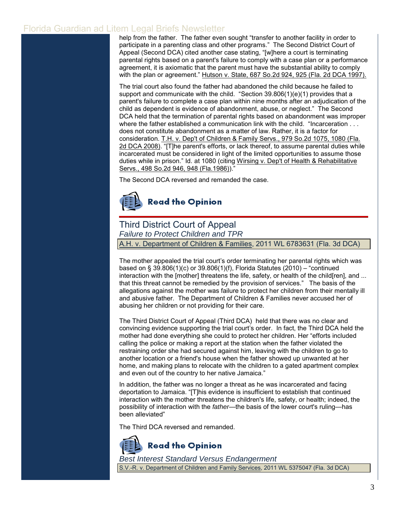help from the father. The father even sought "transfer to another facility in order to participate in a parenting class and other programs." The Second District Court of Appeal (Second DCA) cited another case stating, "[w]here a court is terminating parental rights based on a parent's failure to comply with a case plan or a performance agreement, it is axiomatic that the parent must have the substantial ability to comply with the plan or agreement." Hutson v. State, 687 So.2d 924, 925 (Fla. 2d DCA 1997).

The trial court also found the father had abandoned the child because he failed to support and communicate with the child. ["](http://web2.westlaw.com/find/default.wl?mt=Westlaw&db=1000006&docname=FLSTS39.806&rp=%2ffind%2fdefault.wl&findtype=L&ordoc=2026317931&tc=-1&vr=2.0&fn=_top&sv=Split&tf=-1&referencepositiontype=T&pbc=314F204E&referenceposition=SP%3b64700000c2984&rs=WLW12.01)[Section 39.806\(1\)\(e\)\(1\) p](http://www.leg.state.fl.us/Statutes/index.cfm?App_mode=Display_Statute&Search_String=&URL=0000-0099/0039/Sections/0039.806.html)rovides that a parent's failure to complete a case plan within nine months after an adjudication of the child as dependent is evidence of abandonment, abuse, or neglect." The Second DCA held that the termination of parental rights based on abandonment was improper where the father established a communication link with the child. "Incarceration . . . does not constitute abandonment as a matter of law. Rather, it is a factor for consideration. [T.H. v. Dep't of Children & Family Servs.,](http://web2.westlaw.com/find/default.wl?mt=Westlaw&db=735&tc=-1&rp=%2ffind%2fdefault.wl&findtype=Y&ordoc=2026317931&serialnum=2015707863&vr=2.0&fn=_top&sv=Split&tf=-1&referencepositiontype=S&pbc=314F204E&referenceposition=1080&rs=WLW12.01) 979 So.2d 1075, 1080 (Fla. [2d DCA 2008\).](http://web2.westlaw.com/find/default.wl?mt=Westlaw&db=735&tc=-1&rp=%2ffind%2fdefault.wl&findtype=Y&ordoc=2026317931&serialnum=2015707863&vr=2.0&fn=_top&sv=Split&tf=-1&referencepositiontype=S&pbc=314F204E&referenceposition=1080&rs=WLW12.01) "[T]he parent's efforts, or lack thereof, to assume parental duties while incarcerated must be considered in light of the limited opportunities to assume those duties while in prison." Id. [at 1080](http://web2.westlaw.com/find/default.wl?rs=WLW12.01&pbc=314F204E&vr=2.0&findtype=Y&rp=%2ffind%2fdefault.wl&sv=Split&fn=_top&tf=-1&ordoc=2026317931&mt=Westlaw&serialnum=2015707863&tc=-1) (citing Wirsing v. Dep't of Health & Rehabilitative Servs., 498 So.2d 946, 948 (Fla.1986))."

The Second DCA reversed and remanded the case.



Third District Court of Appeal *Failure to Protect Children and TPR* A.H. v. Department of Children & Families, 2011 WL 6783631 (Fla. 3d DCA)

The mother appealed the trial court's order terminating her parental rights which was based o[n § 39.806\(1\)\(c\) or 39.806\(1\)\(f\), Florida Statutes \(2010\) –](http://www.leg.state.fl.us/Statutes/index.cfm?App_mode=Display_Statute&Search_String=&URL=0000-0099/0039/Sections/0039.806.html) "continued interaction with the [mother] threatens the life, safety, or health of the child[ren], and ... that this threat cannot be remedied by the provision of services." The basis of the allegations against the mother was failure to protect her children from their mentally ill and abusive father. The Department of Children & Families never accused her of abusing her children or not providing for their care.

The Third District Court of Appeal (Third DCA) held that there was no clear and convincing evidence supporting the trial court's order. In fact, the Third DCA held the mother had done everything she could to protect her children. Her "efforts included calling the police or making a report at the station when the father violated the restraining order she had secured against him, leaving with the children to go to another location or a friend's house when the father showed up unwanted at her home, and making plans to relocate with the children to a gated apartment complex and even out of the country to her native Jamaica."

In addition, the father was no longer a threat as he was incarcerated and facing deportation to Jamaica. "[T]his evidence is insufficient to establish that continued interaction with the mother threatens the children's life, safety, or health; indeed, the possibility of interaction with the *father*—the basis of the lower court's ruling—has been alleviated"

The Third DCA reversed and remanded.



# **Read the Opinion**

*[Best Interest Standard Versus Endangerment](http://www.3dca.flcourts.org/Opinions/3D10-2760.pdf)*

S.V.-R. v. Department of Children and Family Services, 2011 WL 5375047 (Fla. 3d DCA)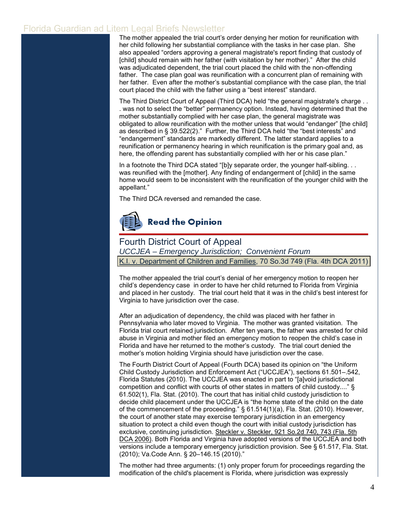The mother appealed the trial court's order denying her motion for reunification with her child following her substantial compliance with the tasks in her case plan. She also appealed "orders approving a general magistrate's report finding that custody of [child] should remain with her father (with visitation by her mother)." After the child was adjudicated dependent, the trial court placed the child with the non-offending father. The case plan goal was reunification with a concurrent plan of remaining with her father. Even after the mother's substantial compliance with the case plan, the trial court placed the child with the father using a "best interest" standard.

The Third District Court of Appeal (Third DCA) held "the general magistrate's charge . . . was not to select the "better" permanency option. Instead, having determined that the mother substantially complied with her case plan, the general magistrate was obligated to allow reunification with the mother unless that would "endanger" [the child] as described in [§ 39.522\(2\)."](http://www.leg.state.fl.us/Statutes/index.cfm?App_mode=Display_Statute&Search_String=&URL=0000-0099/0039/Sections/0039.522.html) Further, the Third DCA held "the "best interests" and "endangerment" standards are markedly different. The latter standard applies to a reunification or permanency hearing in which reunification is the primary goal and, as here, the offending parent has substantially complied with her or his case plan."

In a footnote the Third DCA stated "[b]y separate order, the younger half-sibling. . . was reunified with the [mother]. Any finding of endangerment of [child] in the same home would seem to be inconsistent with the reunification of the younger child with the appellant."

The Third DCA reversed and remanded the case.



### Fourth District Court of Appeal

*UCCJEA – Emergency Jurisdiction; Convenient Forum*

K.I. v. Department of Children and Families, 70 So.3d 749 (Fla. 4th DCA 2011)

The mother appealed the trial court's denial of her emergency motion to reopen her child's dependency case in order to have her child returned to Florida from Virginia and placed in her custody. The trial court held that it was in the child's best interest for Virginia to have jurisdiction over the case.

After an adjudication of dependency, the child was placed with her father in Pennsylvania who later moved to Virginia. The mother was granted visitation. The Florida trial court retained jurisdiction. After ten years, the father was arrested for child abuse in Virginia and mother filed an emergency motion to reopen the child's case in Florida and have her returned to the mother's custody. The trial court denied the mother's motion holding Virginia should have jurisdiction over the case.

The Fourth District Court of Appeal (Fourth DCA) based its opinion on "the Uniform Child Custody Jurisdiction and Enforcement Act ("UCCJEA"), [sections 61.501–.542,](http://www.leg.state.fl.us/Statutes/index.cfm?App_mode=Display_Statute&Search_String=&URL=0000-0099/0061/Sections/0061.501.html)  [Florida Statutes \(2010\).](http://www.leg.state.fl.us/Statutes/index.cfm?App_mode=Display_Statute&Search_String=&URL=0000-0099/0061/Sections/0061.501.html) The UCCJEA was enacted in part to "[a]void jurisdictional competition and conflict with courts of other states in matters of child custody...." [§](http://web2.westlaw.com/find/default.wl?mt=Westlaw&db=1000006&docname=FLSTS61.502&rp=%2ffind%2fdefault.wl&findtype=L&ordoc=2026277952&tc=-1&vr=2.0&fn=_top&sv=Split&tf=-1&referencepositiontype=T&pbc=E94DCCDA&referenceposition=SP%3bf1c50000821b0&rs=WLW12.01)  [61.502\(1\), Fla. Stat. \(2010\).](http://www.leg.state.fl.us/Statutes/index.cfm?App_mode=Display_Statute&Search_String=&URL=0000-0099/0061/Sections/0061.502.html) The court that has initial child custody jurisdiction to decide child placement under the UCCJEA is "the home state of the child on the date of the commencement of the proceeding.[" § 61.514\(1\)\(a\), Fla. Stat. \(2010\).](http://www.leg.state.fl.us/Statutes/index.cfm?App_mode=Display_Statute&Search_String=&URL=0000-0099/0061/Sections/0061.514.html) However, the court of another state may exercise temporary jurisdiction in an emergency situation to protect a child even though the court with initial custody jurisdiction has exclusive, continuing jurisdiction. Steckler v. Steckler, [921 So.2d 740, 743 \(Fla. 5th](http://web2.westlaw.com/find/default.wl?mt=Westlaw&db=735&tc=-1&rp=%2ffind%2fdefault.wl&findtype=Y&ordoc=2026277952&serialnum=2008460342&vr=2.0&fn=_top&sv=Split&tf=-1&referencepositiontype=S&pbc=E94DCCDA&referenceposition=743&rs=WLW12.01)  [DCA 2006\).](http://web2.westlaw.com/find/default.wl?mt=Westlaw&db=735&tc=-1&rp=%2ffind%2fdefault.wl&findtype=Y&ordoc=2026277952&serialnum=2008460342&vr=2.0&fn=_top&sv=Split&tf=-1&referencepositiontype=S&pbc=E94DCCDA&referenceposition=743&rs=WLW12.01) Both Florida and Virginia have adopted versions of the UCCJEA and both versions include a temporary emergency jurisdiction provision. See [§ 61.517, Fla. Stat.](http://web2.westlaw.com/find/default.wl?mt=Westlaw&db=1000006&docname=FLSTS61.517&rp=%2ffind%2fdefault.wl&findtype=L&ordoc=2026277952&tc=-1&vr=2.0&fn=_top&sv=Split&tf=-1&pbc=E94DCCDA&rs=WLW12.01) (2010); [Va.Code Ann. § 20–146.15 \(2010\)."](http://web2.westlaw.com/find/default.wl?mt=Westlaw&db=1000040&docname=VASTS20-146.15&rp=%2ffind%2fdefault.wl&findtype=L&ordoc=2026277952&tc=-1&vr=2.0&fn=_top&sv=Split&tf=-1&pbc=E94DCCDA&rs=WLW12.01)

The mother had three arguments: (1) only proper forum for proceedings regarding the modification of the child's placement is Florida, where jurisdiction was expressly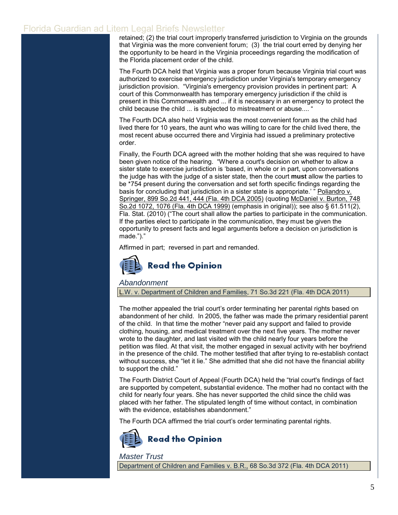retained; (2) the trial court improperly transferred jurisdiction to Virginia on the grounds that Virginia was the more convenient forum; (3) the trial court erred by denying her the opportunity to be heard in the Virginia proceedings regarding the modification of the Florida placement order of the child.

The Fourth DCA held that Virginia was a proper forum because Virginia trial court was authorized to exercise emergency jurisdiction under Virginia's temporary emergency jurisdiction provision. "Virginia's emergency provision provides in pertinent part: A court of this Commonwealth has temporary emergency jurisdiction if the child is present in this Commonwealth and ... if it is necessary in an emergency to protect the child because the child ... is subjected to mistreatment or abuse....

The Fourth DCA also held Virginia was the most convenient forum as the child had lived there for 10 years, the aunt who was willing to care for the child lived there, the most recent abuse occurred there and Virginia had issued a preliminary protective order.

Finally, the Fourth DCA agreed with the mother holding that she was required to have been given notice of the hearing. "Where a court's decision on whether to allow a sister state to exercise jurisdiction is 'based, in whole or in part, upon conversations the judge has with the judge of a sister state, then the court **must** allow the parties to be \*754 present during the conversation and set forth specific findings regarding the basis for concluding that jurisdiction in a sister state is appropriate.' " Poliandro v. Springer, 899 So.2d 441, 444 (Fla. 4th DCA 2005) (quoting McDaniel v. Burton, 748 So.2d 1072, 1076 (Fla. 4th DCA 1999) (emphasis in original)); see also [§ 61.511\(2\),](http://www.leg.state.fl.us/Statutes/index.cfm?App_mode=Display_Statute&Search_String=&URL=0000-0099/0061/Sections/0061.511.html)  [Fla. Stat](http://web2.westlaw.com/find/default.wl?mt=Westlaw&db=1000006&docname=FLSTS61.511&rp=%2ffind%2fdefault.wl&findtype=L&ordoc=2026277952&tc=-1&vr=2.0&fn=_top&sv=Split&tf=-1&referencepositiontype=T&pbc=E94DCCDA&referenceposition=SP%3b58730000872b1&rs=WLW12.01)[. \(2010\) \(](http://www.leg.state.fl.us/Statutes/index.cfm?App_mode=Display_Statute&Search_String=&URL=0000-0099/0061/Sections/0061.511.html)"The court shall allow the parties to participate in the communication. If the parties elect to participate in the communication, they must be given the opportunity to present facts and legal arguments before a decision on jurisdiction is made.")."

Affirmed in part; reversed in part and remanded.



#### *Abandonment*

L.W. v. Department of Children and Families, 71 So.3d 221 (Fla. 4th DCA 2011)

The mother appealed the trial court's order terminating her parental rights based on abandonment of her child. In 2005, the father was made the primary residential parent of the child. In that time the mother "never paid any support and failed to provide clothing, housing, and medical treatment over the next five years. The mother never wrote to the daughter, and last visited with the child nearly four years before the petition was filed. At that visit, the mother engaged in sexual activity with her boyfriend in the presence of the child. The mother testified that after trying to re-establish contact without success, she "let it lie." She admitted that she did not have the financial ability to support the child."

The Fourth District Court of Appeal (Fourth DCA) held the "trial court's findings of fact are supported by competent, substantial evidence. The mother had no contact with the child for nearly four years. She has never supported the child since the child was placed with her father. The stipulated length of time without contact, in combination with the evidence, establishes abandonment."

The Fourth DCA affirmed the trial court's order terminating parental rights.



### *Master Trust* Department of Children and Families v. B.R., 68 So.3d 372 (Fla. 4th DCA 2011)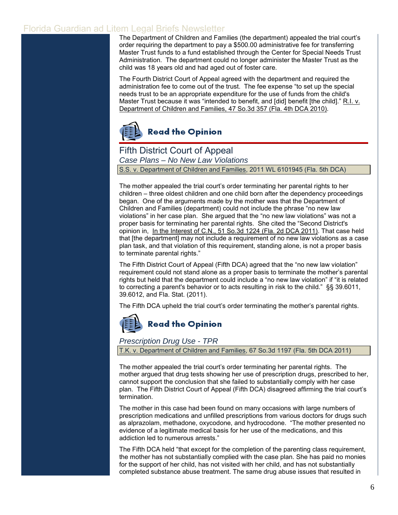The Department of Children and Families (the department) appealed the trial court's order requiring the department to pay a \$500.00 administrative fee for transferring Master Trust funds to a fund established through the Center for Special Needs Trust Administration. The department could no longer administer the Master Trust as the child was 18 years old and had aged out of foster care.

The Fourth District Court of Appeal agreed with the department and required the administration fee to come out of the trust. The fee expense "to set up the special needs trust to be an appropriate expenditure for the use of funds from the child's Master Trust because it was "intended to benefit, and [did] benefit [the child]." R.I. v. Department of Children and Families, 47 So.3d 357 (Fla. 4th DCA 2010).



#### Fifth District Court of Appeal

*Case Plans – No New Law Violations*

S.S. v. Department of Children and Families, 2011 WL 6101945 (Fla. 5th DCA)

The mother appealed the trial court's order terminating her parental rights to her children – three oldest children and one child born after the dependency proceedings began. One of the arguments made by the mother was that the Department of Children and Families (department) could not include the phrase "no new law violations" in her case plan. She argued that the "no new law violations" was not a proper basis for terminating her parental rights. She cited the "Second District's opinion in, In the Interest of C.N., 51 So.3d 1224 (Fla. 2d DCA 2011). That case held that [the department] may not include a requirement of no new law violations as a case plan task, and that violation of this requirement, standing alone, is not a proper basis to terminate parental rights."

The Fifth District Court of Appeal (Fifth DCA) agreed that the "no new law violation" requirement could not stand alone as a proper basis to terminate the mother's parental rights but held that the department could include a "no new law violation" if "it is related to correcting a parent's behavior or to acts resulting in risk to the child." [§§ 39.6011,](http://www.leg.state.fl.us/Statutes/index.cfm?App_mode=Display_Statute&Search_String=&URL=0000-0099/0039/Sections/0039.6011.html)  [39.6012](http://web2.westlaw.com/find/default.wl?tc=-1&docname=FLSTS39.6012&rp=%2ffind%2fdefault.wl&sv=Split&rs=WLW11.10&db=1000006&tf=-1&findtype=L&fn=_top&mt=Westlaw&vr=2.0&pbc=E5220DAA&ordoc=2026641376)[, and](http://www.leg.state.fl.us/Statutes/index.cfm?App_mode=Display_Statute&Search_String=&URL=0000-0099/0039/Sections/0039.6012.html) [Fla.](http://web2.westlaw.com/find/default.wl?tc=-1&docname=FLSTS39.603&rp=%2ffind%2fdefault.wl&sv=Split&rs=WLW11.10&db=1000006&tf=-1&findtype=L&fn=_top&mt=Westlaw&vr=2.0&pbc=E5220DAA&ordoc=2026641376) Stat. (2011).

The Fifth DCA upheld the trial court's order terminating the mother's parental rights.



#### *Prescription Drug Use - TPR*

T.K. v. Department of Children and Families, 67 So.3d 1197 (Fla. 5th DCA 2011)

The mother appealed the trial court's order terminating her parental rights. The mother argued that drug tests showing her use of prescription drugs, prescribed to her, cannot support the conclusion that she failed to substantially comply with her case plan. The Fifth District Court of Appeal (Fifth DCA) disagreed affirming the trial court's termination.

The mother in this case had been found on many occasions with large numbers of prescription medications and unfilled prescriptions from various doctors for drugs such as [alprazolam,](http://web2.westlaw.com/find/default.wl?docname=I3ab316e6475111db9765f9243f53508a&rp=%2ffind%2fdefault.wl&sv=Split&rs=WLW11.10&findtype=GD&fn=_top&mt=Westlaw&vr=2.0&pbc=530F3806&ordoc=2026064526) [methadone,](http://web2.westlaw.com/find/default.wl?docname=I3c1f2a6f475111db9765f9243f53508a&rp=%2ffind%2fdefault.wl&sv=Split&rs=WLW11.10&findtype=GD&fn=_top&mt=Westlaw&vr=2.0&pbc=530F3806&ordoc=2026064526) [oxycodone,](http://web2.westlaw.com/find/default.wl?docname=I3b373b7e475111db9765f9243f53508a&rp=%2ffind%2fdefault.wl&sv=Split&rs=WLW11.10&findtype=GD&fn=_top&mt=Westlaw&vr=2.0&pbc=530F3806&ordoc=2026064526) and [hydrocodone.](http://web2.westlaw.com/find/default.wl?docname=I3bd96eea475111db9765f9243f53508a&rp=%2ffind%2fdefault.wl&sv=Split&rs=WLW11.10&findtype=GD&fn=_top&mt=Westlaw&vr=2.0&pbc=530F3806&ordoc=2026064526) "The mother presented no evidence of a legitimate medical basis for her use of the medications, and this addiction led to numerous arrests."

The Fifth DCA held "that except for the completion of the parenting class requirement, the mother has not substantially complied with the case plan. She has paid no monies for the support of her child, has not visited with her child, and has not substantially completed substance abuse treatment. The same drug abuse issues that resulted in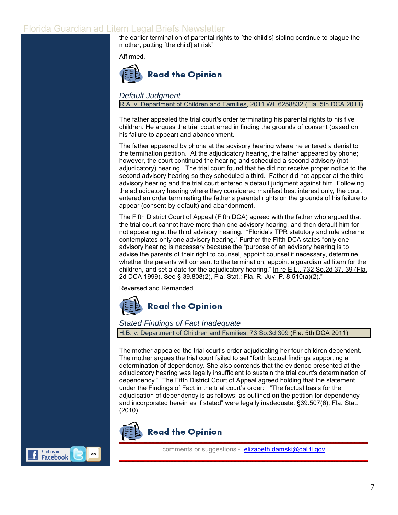the earlier termination of parental rights to [the child's] sibling continue to plague the mother, putting [the child] at risk"

Affirmed.



#### *Default Judgment*

R.A. v. Department of Children and Families, 2011 WL 6258832 (Fla. 5th DCA 2011)

The father appealed the trial court's order terminating his parental rights to his five children. He argues the trial court erred in finding the grounds of consent (based on his failure to appear) and abandonment.

The father appeared by phone at the advisory hearing where he entered a denial to the termination petition. At the adjudicatory hearing, the father appeared by phone; however, the court continued the hearing and scheduled a second advisory (not adjudicatory) hearing. The trial court found that he did not receive proper notice to the second advisory hearing so they scheduled a third. Father did not appear at the third advisory hearing and the trial court entered a default judgment against him. Following the adjudicatory hearing where they considered manifest best interest only, the court entered an order terminating the father's parental rights on the grounds of his failure to appear (consent-by-default) and abandonment.

The Fifth District Court of Appeal (Fifth DCA) agreed with the father who argued that the trial court cannot have more than one advisory hearing, and then default him for not appearing at the third advisory hearing. "Florida's TPR statutory and rule scheme contemplates only one advisory hearing." Further the Fifth DCA states "only one advisory hearing is necessary because the "purpose of an advisory hearing is to advise the parents of their right to counsel, appoint counsel if necessary, determine whether the parents will consent to the termination, appoint a guardian ad litem for the children, and set a date for the adjudicatory hearing." In re E.L., 732 So.2d 37, 39 (Fla. 2d DCA 1999). See [§ 39.808\(2\), Fla. Stat.;](http://www.leg.state.fl.us/Statutes/index.cfm?App_mode=Display_Statute&Search_String=&URL=0000-0099/0039/Sections/0039.808.html) Fla. R. Juv. P. 8.510(a)(2)."

Reversed and Remanded.



# **Read the Opinion**

#### *Stated Findings of Fact Inadequate*

H.B. v. Department of Children and Families, 73 So.3d 309 (Fla. 5th DCA 2011)

The mother appealed the trial court's order adjudicating her four children dependent. The mother argues the trial court failed to set "forth factual findings supporting a determination of dependency. She also contends that the evidence presented at the adjudicatory hearing was legally insufficient to sustain the trial court's determination of dependency." The Fifth District Court of Appeal agreed holding that the statement under the Findings of Fact in the trial court's order: "The factual basis for the adjudication of dependency is as follows: as outlined on the petition for dependency and incorporated herein as if stated" were legally inadequat[e. §39.507\(6\), Fla. Stat.](http://www.leg.state.fl.us/Statutes/index.cfm?App_mode=Display_Statute&Search_String=&URL=0000-0099/0039/Sections/0039.507.html)  [\(2010\).](http://www.leg.state.fl.us/Statutes/index.cfm?App_mode=Display_Statute&Search_String=&URL=0000-0099/0039/Sections/0039.507.html) 





comments or suggestions - [elizabeth.damski@gal.fl.gov](mailto:elizabeth.damski@gal.fl.gov)